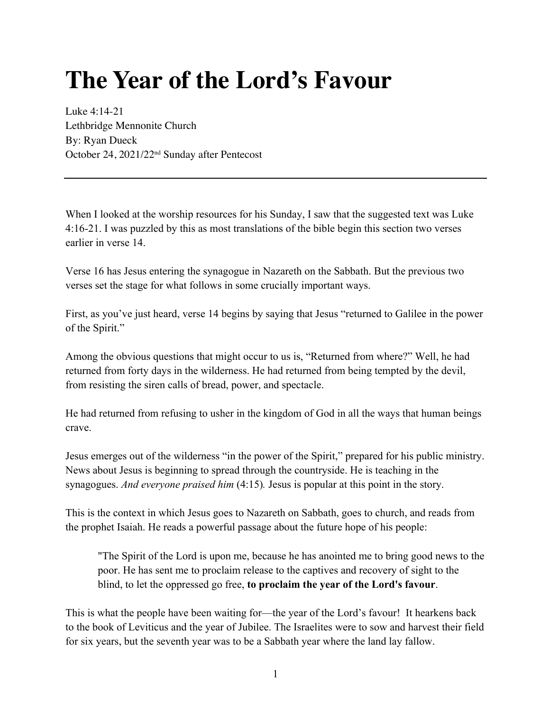## **The Year of the Lord's Favour**

Luke 4:14-21 Lethbridge Mennonite Church By: Ryan Dueck October 24, 2021/22nd Sunday after Pentecost

When I looked at the worship resources for his Sunday, I saw that the suggested text was Luke 4:16-21. I was puzzled by this as most translations of the bible begin this section two verses earlier in verse 14.

Verse 16 has Jesus entering the synagogue in Nazareth on the Sabbath. But the previous two verses set the stage for what follows in some crucially important ways.

First, as you've just heard, verse 14 begins by saying that Jesus "returned to Galilee in the power of the Spirit."

Among the obvious questions that might occur to us is, "Returned from where?" Well, he had returned from forty days in the wilderness. He had returned from being tempted by the devil, from resisting the siren calls of bread, power, and spectacle.

He had returned from refusing to usher in the kingdom of God in all the ways that human beings crave.

Jesus emerges out of the wilderness "in the power of the Spirit," prepared for his public ministry. News about Jesus is beginning to spread through the countryside. He is teaching in the synagogues. *And everyone praised him* (4:15)*.* Jesus is popular at this point in the story.

This is the context in which Jesus goes to Nazareth on Sabbath, goes to church, and reads from the prophet Isaiah. He reads a powerful passage about the future hope of his people:

"The Spirit of the Lord is upon me, because he has anointed me to bring good news to the poor. He has sent me to proclaim release to the captives and recovery of sight to the blind, to let the oppressed go free, **to proclaim the year of the Lord's favour**.

This is what the people have been waiting for—the year of the Lord's favour! It hearkens back to the book of Leviticus and the year of Jubilee. The Israelites were to sow and harvest their field for six years, but the seventh year was to be a Sabbath year where the land lay fallow.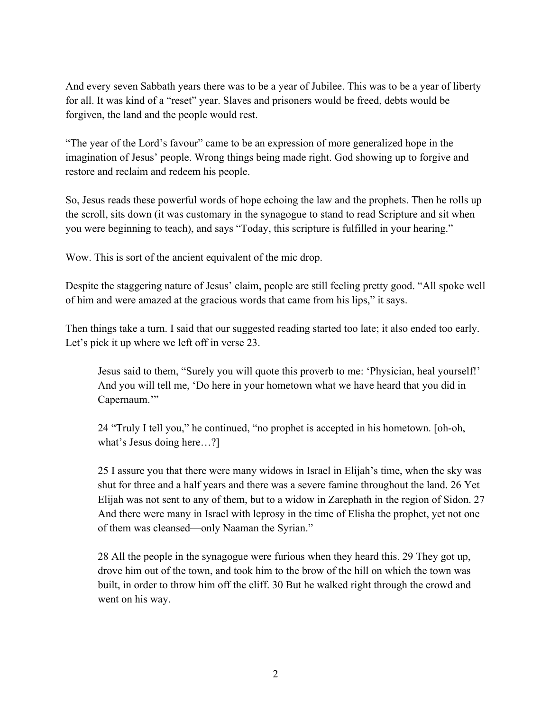And every seven Sabbath years there was to be a year of Jubilee. This was to be a year of liberty for all. It was kind of a "reset" year. Slaves and prisoners would be freed, debts would be forgiven, the land and the people would rest.

"The year of the Lord's favour" came to be an expression of more generalized hope in the imagination of Jesus' people. Wrong things being made right. God showing up to forgive and restore and reclaim and redeem his people.

So, Jesus reads these powerful words of hope echoing the law and the prophets. Then he rolls up the scroll, sits down (it was customary in the synagogue to stand to read Scripture and sit when you were beginning to teach), and says "Today, this scripture is fulfilled in your hearing."

Wow. This is sort of the ancient equivalent of the mic drop.

Despite the staggering nature of Jesus' claim, people are still feeling pretty good. "All spoke well of him and were amazed at the gracious words that came from his lips," it says.

Then things take a turn. I said that our suggested reading started too late; it also ended too early. Let's pick it up where we left off in verse 23.

Jesus said to them, "Surely you will quote this proverb to me: 'Physician, heal yourself!' And you will tell me, 'Do here in your hometown what we have heard that you did in Capernaum."

24 "Truly I tell you," he continued, "no prophet is accepted in his hometown. [oh-oh, what's Jesus doing here…?]

25 I assure you that there were many widows in Israel in Elijah's time, when the sky was shut for three and a half years and there was a severe famine throughout the land. 26 Yet Elijah was not sent to any of them, but to a widow in Zarephath in the region of Sidon. 27 And there were many in Israel with leprosy in the time of Elisha the prophet, yet not one of them was cleansed—only Naaman the Syrian."

28 All the people in the synagogue were furious when they heard this. 29 They got up, drove him out of the town, and took him to the brow of the hill on which the town was built, in order to throw him off the cliff. 30 But he walked right through the crowd and went on his way.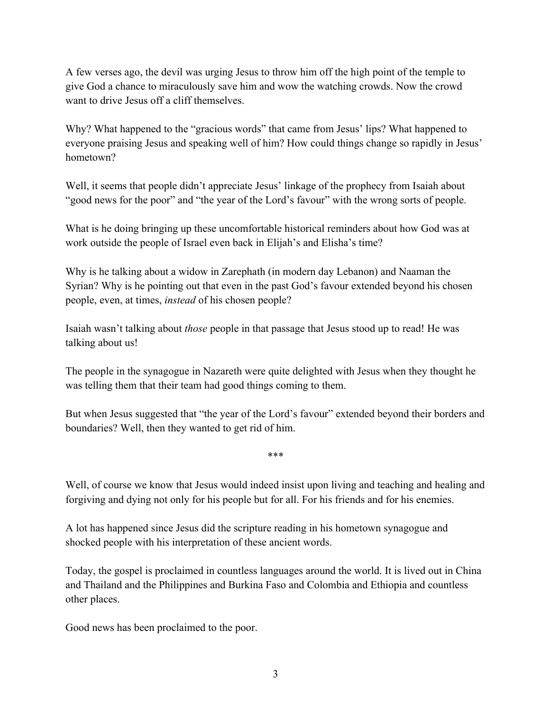A few verses ago, the devil was urging Jesus to throw him off the high point of the temple to give God a chance to miraculously save him and wow the watching crowds. Now the crowd want to drive Jesus off a cliff themselves.

Why? What happened to the "gracious words" that came from Jesus' lips? What happened to everyone praising Jesus and speaking well of him? How could things change so rapidly in Jesus' hometown?

Well, it seems that people didn't appreciate Jesus' linkage of the prophecy from Isaiah about "good news for the poor" and "the year of the Lord's favour" with the wrong sorts of people.

What is he doing bringing up these uncomfortable historical reminders about how God was at work outside the people of Israel even back in Elijah's and Elisha's time?

Why is he talking about a widow in Zarephath (in modern day Lebanon) and Naaman the Syrian? Why is he pointing out that even in the past God's favour extended beyond his chosen people, even, at times, *instead* of his chosen people?

Isaiah wasn't talking about *those* people in that passage that Jesus stood up to read! He was talking about us!

The people in the synagogue in Nazareth were quite delighted with Jesus when they thought he was telling them that their team had good things coming to them.

But when Jesus suggested that "the year of the Lord's favour" extended beyond their borders and boundaries? Well, then they wanted to get rid of him.

\*\*\*

Well, of course we know that Jesus would indeed insist upon living and teaching and healing and forgiving and dying not only for his people but for all. For his friends and for his enemies.

A lot has happened since Jesus did the scripture reading in his hometown synagogue and shocked people with his interpretation of these ancient words.

Today, the gospel is proclaimed in countless languages around the world. It is lived out in China and Thailand and the Philippines and Burkina Faso and Colombia and Ethiopia and countless other places.

Good news has been proclaimed to the poor.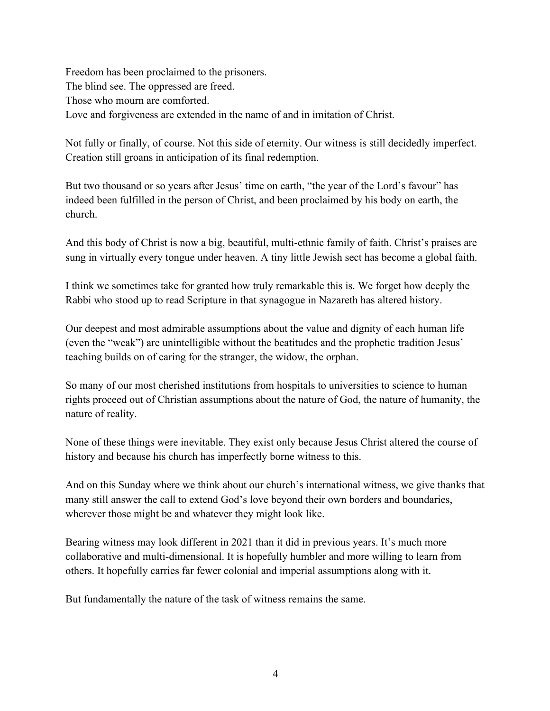Freedom has been proclaimed to the prisoners. The blind see. The oppressed are freed. Those who mourn are comforted. Love and forgiveness are extended in the name of and in imitation of Christ.

Not fully or finally, of course. Not this side of eternity. Our witness is still decidedly imperfect. Creation still groans in anticipation of its final redemption.

But two thousand or so years after Jesus' time on earth, "the year of the Lord's favour" has indeed been fulfilled in the person of Christ, and been proclaimed by his body on earth, the church.

And this body of Christ is now a big, beautiful, multi-ethnic family of faith. Christ's praises are sung in virtually every tongue under heaven. A tiny little Jewish sect has become a global faith.

I think we sometimes take for granted how truly remarkable this is. We forget how deeply the Rabbi who stood up to read Scripture in that synagogue in Nazareth has altered history.

Our deepest and most admirable assumptions about the value and dignity of each human life (even the "weak") are unintelligible without the beatitudes and the prophetic tradition Jesus' teaching builds on of caring for the stranger, the widow, the orphan.

So many of our most cherished institutions from hospitals to universities to science to human rights proceed out of Christian assumptions about the nature of God, the nature of humanity, the nature of reality.

None of these things were inevitable. They exist only because Jesus Christ altered the course of history and because his church has imperfectly borne witness to this.

And on this Sunday where we think about our church's international witness, we give thanks that many still answer the call to extend God's love beyond their own borders and boundaries, wherever those might be and whatever they might look like.

Bearing witness may look different in 2021 than it did in previous years. It's much more collaborative and multi-dimensional. It is hopefully humbler and more willing to learn from others. It hopefully carries far fewer colonial and imperial assumptions along with it.

But fundamentally the nature of the task of witness remains the same.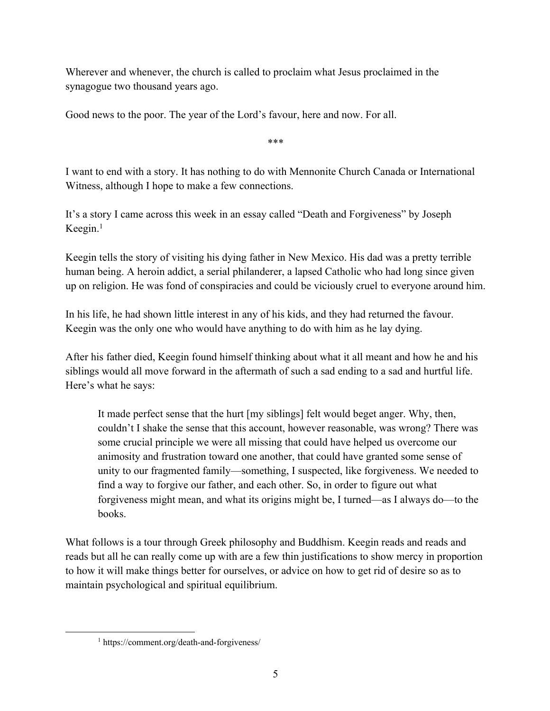Wherever and whenever, the church is called to proclaim what Jesus proclaimed in the synagogue two thousand years ago.

Good news to the poor. The year of the Lord's favour, here and now. For all.

\*\*\*

I want to end with a story. It has nothing to do with Mennonite Church Canada or International Witness, although I hope to make a few connections.

It's a story I came across this week in an essay called "Death and Forgiveness" by Joseph Keegin. $<sup>1</sup>$ </sup>

Keegin tells the story of visiting his dying father in New Mexico. His dad was a pretty terrible human being. A heroin addict, a serial philanderer, a lapsed Catholic who had long since given up on religion. He was fond of conspiracies and could be viciously cruel to everyone around him.

In his life, he had shown little interest in any of his kids, and they had returned the favour. Keegin was the only one who would have anything to do with him as he lay dying.

After his father died, Keegin found himself thinking about what it all meant and how he and his siblings would all move forward in the aftermath of such a sad ending to a sad and hurtful life. Here's what he says:

It made perfect sense that the hurt [my siblings] felt would beget anger. Why, then, couldn't I shake the sense that this account, however reasonable, was wrong? There was some crucial principle we were all missing that could have helped us overcome our animosity and frustration toward one another, that could have granted some sense of unity to our fragmented family—something, I suspected, like forgiveness. We needed to find a way to forgive our father, and each other. So, in order to figure out what forgiveness might mean, and what its origins might be, I turned—as I always do—to the books.

What follows is a tour through Greek philosophy and Buddhism. Keegin reads and reads and reads but all he can really come up with are a few thin justifications to show mercy in proportion to how it will make things better for ourselves, or advice on how to get rid of desire so as to maintain psychological and spiritual equilibrium.

<sup>1</sup> https://comment.org/death-and-forgiveness/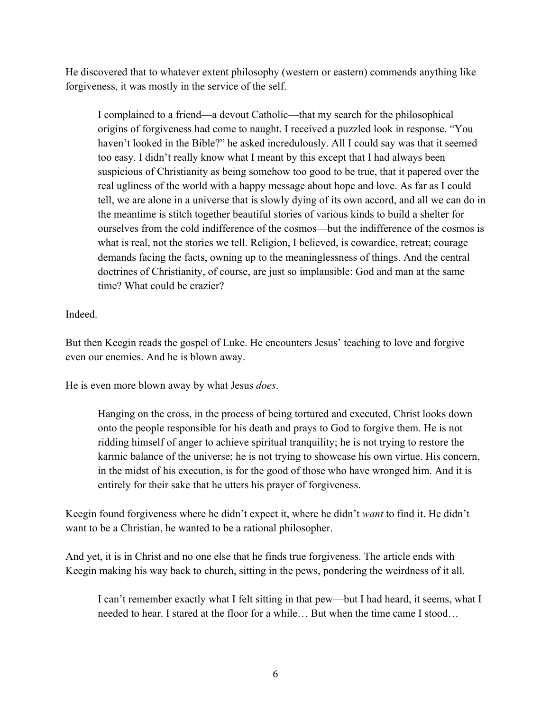He discovered that to whatever extent philosophy (western or eastern) commends anything like forgiveness, it was mostly in the service of the self.

I complained to a friend—a devout Catholic—that my search for the philosophical origins of forgiveness had come to naught. I received a puzzled look in response. "You haven't looked in the Bible?" he asked incredulously. All I could say was that it seemed too easy. I didn't really know what I meant by this except that I had always been suspicious of Christianity as being somehow too good to be true, that it papered over the real ugliness of the world with a happy message about hope and love. As far as I could tell, we are alone in a universe that is slowly dying of its own accord, and all we can do in the meantime is stitch together beautiful stories of various kinds to build a shelter for ourselves from the cold indifference of the cosmos—but the indifference of the cosmos is what is real, not the stories we tell. Religion, I believed, is cowardice, retreat; courage demands facing the facts, owning up to the meaninglessness of things. And the central doctrines of Christianity, of course, are just so implausible: God and man at the same time? What could be crazier?

Indeed.

But then Keegin reads the gospel of Luke. He encounters Jesus' teaching to love and forgive even our enemies. And he is blown away.

He is even more blown away by what Jesus *does*.

Hanging on the cross, in the process of being tortured and executed, Christ looks down onto the people responsible for his death and prays to God to forgive them. He is not ridding himself of anger to achieve spiritual tranquility; he is not trying to restore the karmic balance of the universe; he is not trying to showcase his own virtue. His concern, in the midst of his execution, is for the good of those who have wronged him. And it is entirely for their sake that he utters his prayer of forgiveness.

Keegin found forgiveness where he didn't expect it, where he didn't *want* to find it. He didn't want to be a Christian, he wanted to be a rational philosopher.

And yet, it is in Christ and no one else that he finds true forgiveness. The article ends with Keegin making his way back to church, sitting in the pews, pondering the weirdness of it all.

I can't remember exactly what I felt sitting in that pew—but I had heard, it seems, what I needed to hear. I stared at the floor for a while… But when the time came I stood…